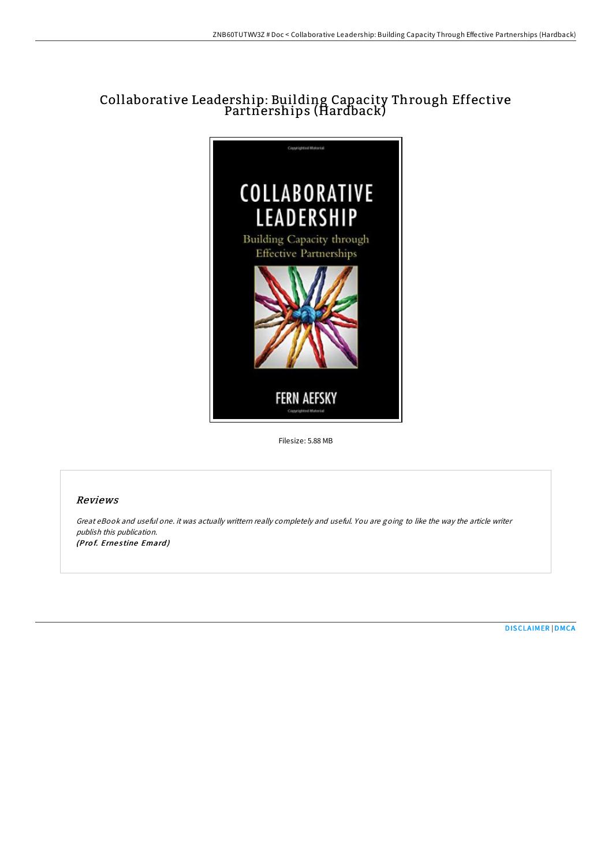# Collaborative Leadership: Building Capacity Through Effective Partnerships (Hardback)



Filesize: 5.88 MB

### Reviews

Great eBook and useful one. it was actually writtern really completely and useful. You are going to like the way the article writer publish this publication. (Prof. Ernestine Emard)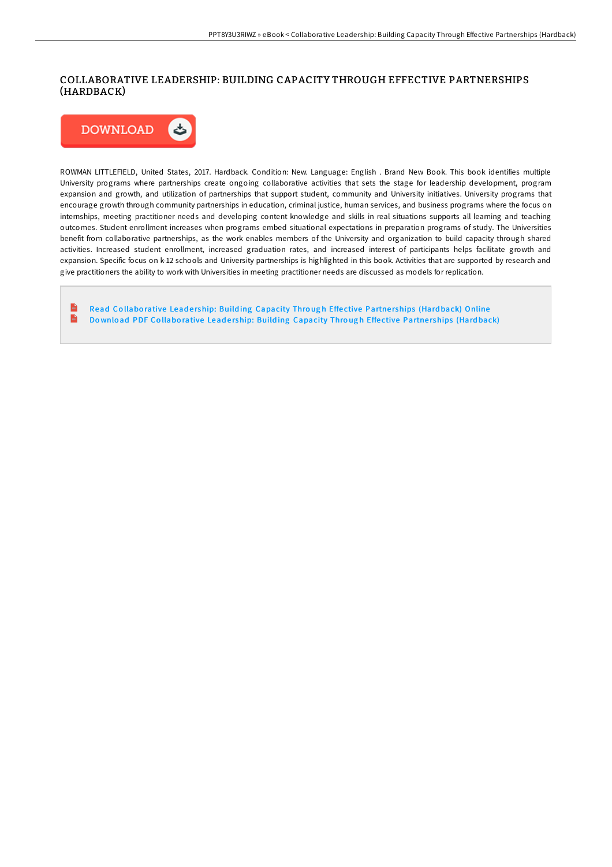#### COLLABORATIVE LEADERSHIP: BUILDING CAPACITY THROUGH EFFECTIVE PARTNERSHIPS (HARDBACK)



ROWMAN LITTLEFIELD, United States, 2017. Hardback. Condition: New. Language: English . Brand New Book. This book identifies multiple University programs where partnerships create ongoing collaborative activities that sets the stage for leadership development, program expansion and growth, and utilization of partnerships that support student, community and University initiatives. University programs that encourage growth through community partnerships in education, criminal justice, human services, and business programs where the focus on internships, meeting practitioner needs and developing content knowledge and skills in real situations supports all learning and teaching outcomes. Student enrollment increases when programs embed situational expectations in preparation programs of study. The Universities benefit from collaborative partnerships, as the work enables members of the University and organization to build capacity through shared activities. Increased student enrollment, increased graduation rates, and increased interest of participants helps facilitate growth and expansion. Specific focus on k-12 schools and University partnerships is highlighted in this book. Activities that are supported by research and give practitioners the ability to work with Universities in meeting practitioner needs are discussed as models for replication.

 $rac{1}{16}$ Read Collaborative Leadership: Building [Capacity](http://almighty24.tech/collaborative-leadership-building-capacity-throu-1.html) Through Effective Partnerships (Hardback) Online  $\frac{1}{10}$ Download PDF Collaborative Leadership: Building [Capacity](http://almighty24.tech/collaborative-leadership-building-capacity-throu-1.html) Through Effective Partnerships (Hardback)